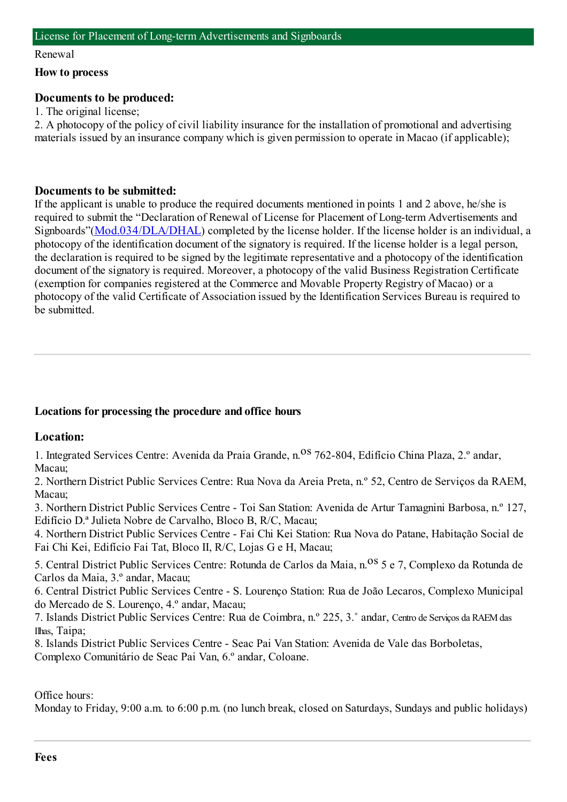#### Renewal

#### **How to process**

#### **Documents to be produced:**

1. The original license;

2. A photocopy of the policy of civil liability insurance for the installation of promotional and advertising materials issued by an insurance company which is given permission to operate in Macao (if applicable);

#### **Documents to be submitted:**

If the applicant is unable to produce the required documents mentioned in points 1 and 2 above, he/she is required to submit the "Declaration of Renewal of License for Placement of Long-term Advertisements and Signboards"([Mod.034/DLA/DHAL](https://www.iam.gov.mo/c/pdf/eformDetail/PDF2034)) completed by the license holder. If the license holder is an individual, a photocopy of the identification document of the signatory is required. If the license holder is a legal person, the declaration is required to be signed by the legitimate representative and a photocopy of the identification document of the signatory is required. Moreover, a photocopy of the valid Business Registration Certificate (exemption for companies registered at the Commerce and Movable Property Registry of Macao) or a photocopy of the valid Certificate of Association issued by the Identification Services Bureau is required to be submitted.

# **Locations for processing the procedure and office hours**

#### **Location:**

1. Integrated Services Centre: Avenida da Praia Grande, n. <sup>08</sup> 762-804, Edifício China Plaza, 2.º andar, Macau;

2. Northern District Public Services Centre: Rua Nova da Areia Preta, n.º 52, Centro de Serviços da RAEM, Macau;

3. Northern District Public Services Centre - Toi San Station: Avenida de Artur Tamagnini Barbosa, n.º 127, Edifício D.ª Julieta Nobre de Carvalho, Bloco B, R/C, Macau;

4. Northern District Public Services Centre - Fai Chi Kei Station: Rua Nova do Patane, Habitação Social de Fai Chi Kei, Edifício Fai Tat, Bloco II, R/C, Lojas G e H, Macau;

5. Central District Public Services Centre: Rotunda de Carlos da Maia, n.<sup>08</sup> 5 e 7, Complexo da Rotunda de Carlos da Maia, 3.º andar, Macau;

6. Central District Public Services Centre - S. Lourenço Station: Rua de João Lecaros, Complexo Municipal do Mercado de S. Lourenço, 4.º andar, Macau;

7. Islands District Public Services Centre: Rua de Coimbra, n.º 225, 3.˚ andar, Centro de Serviços da RAEMdas Ilhas, Taipa;

8. Islands District Public Services Centre - Seac Pai Van Station: Avenida de Vale das Borboletas, Complexo Comunitário de Seac Pai Van, 6.º andar, Coloane.

Office hours:

Monday to Friday, 9:00 a.m. to 6:00 p.m. (no lunch break, closed on Saturdays, Sundays and public holidays)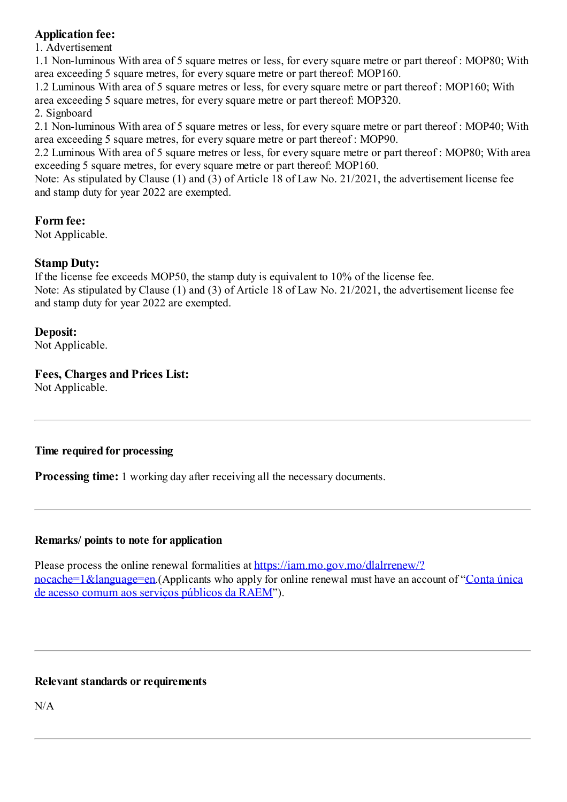# **Application fee:**

1. Advertisement

1.1 Non-luminous With area of 5 square metres or less, for every square metre or part thereof : MOP80; With area exceeding 5 square metres, for every square metre or part thereof: MOP160.

1.2 Luminous With area of 5 square metres or less, for every square metre or part thereof : MOP160; With area exceeding 5 square metres, for every square metre or part thereof: MOP320.

2. Signboard

2.1 Non-luminous With area of 5 square metres or less, for every square metre or part thereof : MOP40; With area exceeding 5 square metres, for every square metre or part thereof : MOP90.

2.2 Luminous With area of 5 square metres or less, for every square metre or part thereof : MOP80; With area exceeding 5 square metres, for every square metre or part thereof: MOP160.

Note: As stipulated by Clause (1) and (3) of Article 18 of Law No. 21/2021, the advertisement license fee and stamp duty for year 2022 are exempted.

# **Form fee:**

Not Applicable.

# **Stamp Duty:**

If the license fee exceeds MOP50, the stamp duty is equivalent to 10% of the license fee.

Note: As stipulated by Clause (1) and (3) of Article 18 of Law No. 21/2021, the advertisement license fee and stamp duty for year 2022 are exempted.

#### **Deposit:**

Not Applicable.

# **Fees, Charges and Prices List:**

Not Applicable.

# **Time required for processing**

**Processing time:** 1 working day after receiving all the necessary documents.

#### **Remarks/ points to note for application**

Please process the online renewal formalities at [https://iam.mo.gov.mo/dlalrrenew/?](https://iam.mo.gov.mo/dlalrrenew/?nocache=1&language=en) [nocache=1&language=en](https://www.gov.mo/pt/servicos/ps-1047/).(Applicants who apply for online renewal must have an account of "Conta única" de acesso comum aos serviços públicos da RAEM").

# **Relevant standards or requirements**

N/A